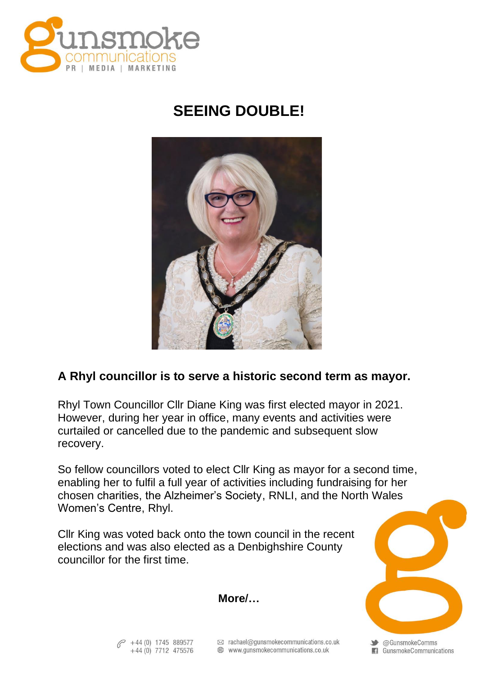

## **SEEING DOUBLE!**



## **A Rhyl councillor is to serve a historic second term as mayor.**

Rhyl Town Councillor Cllr Diane King was first elected mayor in 2021. However, during her year in office, many events and activities were curtailed or cancelled due to the pandemic and subsequent slow recovery.

So fellow councillors voted to elect Cllr King as mayor for a second time, enabling her to fulfil a full year of activities including fundraising for her chosen charities, the Alzheimer's Society, RNLI, and the North Wales Women's Centre, Rhyl.

Cllr King was voted back onto the town council in the recent elections and was also elected as a Denbighshire County councillor for the first time.

◆ @GunsmokeComms GunsmokeCommunications

**More/…**